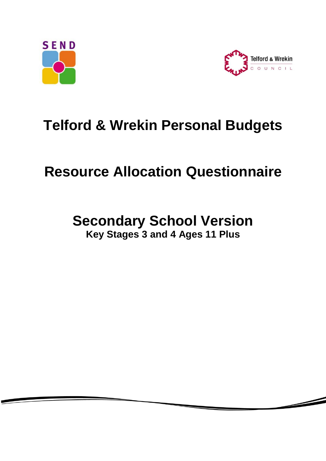



 $\overline{\phantom{0}}$ 

# **Telford & Wrekin Personal Budgets**

# **Resource Allocation Questionnaire**

## **Secondary School Version Key Stages 3 and 4 Ages 11 Plus**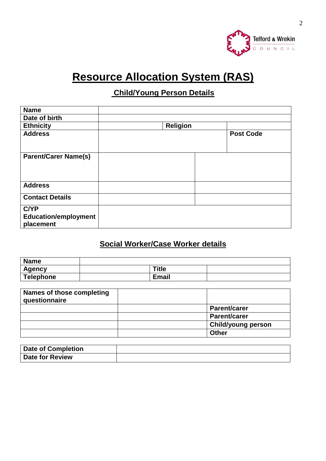

## **Resource Allocation System (RAS)**

### **Child/Young Person Details**

| <b>Name</b>                 |                 |                  |
|-----------------------------|-----------------|------------------|
| Date of birth               |                 |                  |
| <b>Ethnicity</b>            | <b>Religion</b> |                  |
| <b>Address</b>              |                 | <b>Post Code</b> |
|                             |                 |                  |
|                             |                 |                  |
| <b>Parent/Carer Name(s)</b> |                 |                  |
|                             |                 |                  |
|                             |                 |                  |
| <b>Address</b>              |                 |                  |
| <b>Contact Details</b>      |                 |                  |
|                             |                 |                  |
| <b>C/YP</b>                 |                 |                  |
| <b>Education/employment</b> |                 |                  |
| placement                   |                 |                  |

### **Social Worker/Case Worker details**

| <b>Name</b> |              |  |
|-------------|--------------|--|
| Agency      | Title        |  |
| Telephone   | <b>Email</b> |  |

| <b>Names of those completing</b><br>questionnaire |                           |
|---------------------------------------------------|---------------------------|
|                                                   | <b>Parent/carer</b>       |
|                                                   | <b>Parent/carer</b>       |
|                                                   | <b>Child/young person</b> |
|                                                   | <b>Other</b>              |

| <b>Date of Completion</b> |  |
|---------------------------|--|
| <b>Date for Review</b>    |  |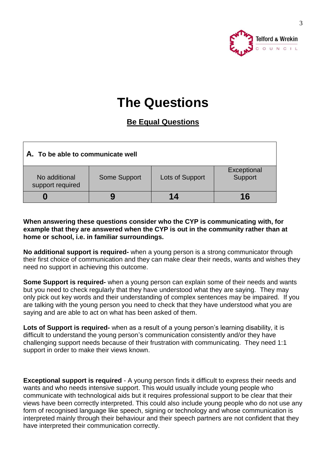

## **The Questions**

### **Be Equal Questions**

| A. To be able to communicate well |              |                 |                        |
|-----------------------------------|--------------|-----------------|------------------------|
| No additional<br>support required | Some Support | Lots of Support | Exceptional<br>Support |
|                                   | 9            | 14              | 16                     |

#### **When answering these questions consider who the CYP is communicating with, for example that they are answered when the CYP is out in the community rather than at home or school, i.e. in familiar surroundings.**

**No additional support is required-** when a young person is a strong communicator through their first choice of communication and they can make clear their needs, wants and wishes they need no support in achieving this outcome.

**Some Support is required-** when a young person can explain some of their needs and wants but you need to check regularly that they have understood what they are saying. They may only pick out key words and their understanding of complex sentences may be impaired. If you are talking with the young person you need to check that they have understood what you are saying and are able to act on what has been asked of them.

**Lots of Support is required-** when as a result of a young person's learning disability, it is difficult to understand the young person's communication consistently and/or they have challenging support needs because of their frustration with communicating. They need 1:1 support in order to make their views known.

**Exceptional support is required** - A young person finds it difficult to express their needs and wants and who needs intensive support. This would usually include young people who communicate with technological aids but it requires professional support to be clear that their views have been correctly interpreted. This could also include young people who do not use any form of recognised language like speech, signing or technology and whose communication is interpreted mainly through their behaviour and their speech partners are not confident that they have interpreted their communication correctly.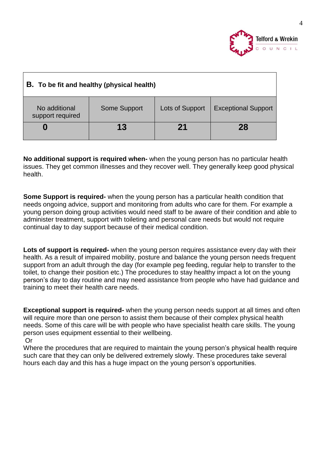

| <b>B.</b> To be fit and healthy (physical health) |              |                 |                            |
|---------------------------------------------------|--------------|-----------------|----------------------------|
| No additional<br>support required                 | Some Support | Lots of Support | <b>Exceptional Support</b> |
| U                                                 | 13           | 21              | 28                         |

**No additional support is required when-** when the young person has no particular health issues. They get common illnesses and they recover well. They generally keep good physical health.

**Some Support is required-** when the young person has a particular health condition that needs ongoing advice, support and monitoring from adults who care for them. For example a young person doing group activities would need staff to be aware of their condition and able to administer treatment, support with toileting and personal care needs but would not require continual day to day support because of their medical condition.

**Lots of support is required-** when the young person requires assistance every day with their health. As a result of impaired mobility, posture and balance the young person needs frequent support from an adult through the day (for example peg feeding, regular help to transfer to the toilet, to change their position etc.) The procedures to stay healthy impact a lot on the young person's day to day routine and may need assistance from people who have had guidance and training to meet their health care needs.

**Exceptional support is required-** when the young person needs support at all times and often will require more than one person to assist them because of their complex physical health needs. Some of this care will be with people who have specialist health care skills. The young person uses equipment essential to their wellbeing. Or

Where the procedures that are required to maintain the young person's physical health require such care that they can only be delivered extremely slowly. These procedures take several hours each day and this has a huge impact on the young person's opportunities.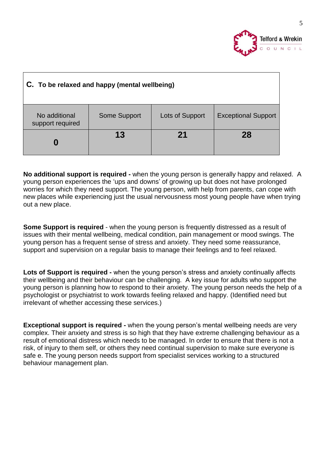

| C. To be relaxed and happy (mental wellbeing) |              |                 |                            |  |
|-----------------------------------------------|--------------|-----------------|----------------------------|--|
| No additional<br>support required             | Some Support | Lots of Support | <b>Exceptional Support</b> |  |
| 13<br>28<br>21                                |              |                 |                            |  |

**No additional support is required -** when the young person is generally happy and relaxed. A young person experiences the 'ups and downs' of growing up but does not have prolonged worries for which they need support. The young person, with help from parents, can cope with new places while experiencing just the usual nervousness most young people have when trying out a new place.

**Some Support is required** - when the young person is frequently distressed as a result of issues with their mental wellbeing, medical condition, pain management or mood swings. The young person has a frequent sense of stress and anxiety. They need some reassurance, support and supervision on a regular basis to manage their feelings and to feel relaxed.

**Lots of Support is required -** when the young person's stress and anxiety continually affects their wellbeing and their behaviour can be challenging. A key issue for adults who support the young person is planning how to respond to their anxiety. The young person needs the help of a psychologist or psychiatrist to work towards feeling relaxed and happy. (Identified need but irrelevant of whether accessing these services.)

**Exceptional support is required -** when the young person's mental wellbeing needs are very complex. Their anxiety and stress is so high that they have extreme challenging behaviour as a result of emotional distress which needs to be managed. In order to ensure that there is not a risk, of injury to them self, or others they need continual supervision to make sure everyone is safe e. The young person needs support from specialist services working to a structured behaviour management plan.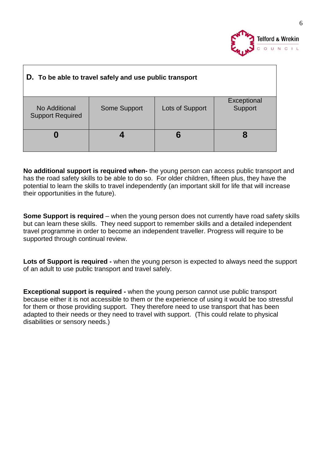

| D. To be able to travel safely and use public transport                                                      |  |  |  |  |
|--------------------------------------------------------------------------------------------------------------|--|--|--|--|
| Exceptional<br>Support<br><b>Some Support</b><br>Lots of Support<br>No Additional<br><b>Support Required</b> |  |  |  |  |
| 6                                                                                                            |  |  |  |  |

**No additional support is required when-** the young person can access public transport and has the road safety skills to be able to do so. For older children, fifteen plus, they have the potential to learn the skills to travel independently (an important skill for life that will increase their opportunities in the future).

**Some Support is required** – when the young person does not currently have road safety skills but can learn these skills. They need support to remember skills and a detailed independent travel programme in order to become an independent traveller. Progress will require to be supported through continual review.

**Lots of Support is required -** when the young person is expected to always need the support of an adult to use public transport and travel safely.

**Exceptional support is required -** when the young person cannot use public transport because either it is not accessible to them or the experience of using it would be too stressful for them or those providing support. They therefore need to use transport that has been adapted to their needs or they need to travel with support. (This could relate to physical disabilities or sensory needs.)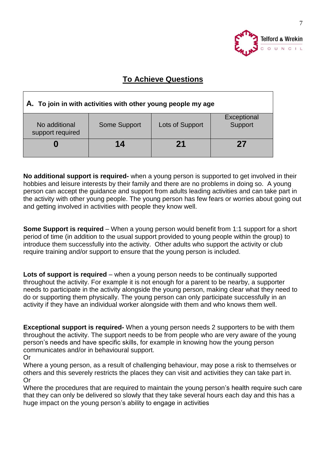

### **To Achieve Questions**

| A. To join in with activities with other young people my age                                   |    |  |  |
|------------------------------------------------------------------------------------------------|----|--|--|
| Exceptional<br>Support<br>Some Support<br>Lots of Support<br>No additional<br>support required |    |  |  |
|                                                                                                | 14 |  |  |

**No additional support is required-** when a young person is supported to get involved in their hobbies and leisure interests by their family and there are no problems in doing so. A young person can accept the guidance and support from adults leading activities and can take part in the activity with other young people. The young person has few fears or worries about going out and getting involved in activities with people they know well.

**Some Support is required** – When a young person would benefit from 1:1 support for a short period of time (in addition to the usual support provided to young people within the group) to introduce them successfully into the activity. Other adults who support the activity or club require training and/or support to ensure that the young person is included.

Lots of support is required – when a young person needs to be continually supported throughout the activity. For example it is not enough for a parent to be nearby, a supporter needs to participate in the activity alongside the young person, making clear what they need to do or supporting them physically. The young person can only participate successfully in an activity if they have an individual worker alongside with them and who knows them well.

**Exceptional support is required-** When a young person needs 2 supporters to be with them throughout the activity. The support needs to be from people who are very aware of the young person's needs and have specific skills, for example in knowing how the young person communicates and/or in behavioural support.

Where a young person, as a result of challenging behaviour, may pose a risk to themselves or others and this severely restricts the places they can visit and activities they can take part in. Or

Where the procedures that are required to maintain the young person's health require such care that they can only be delivered so slowly that they take several hours each day and this has a huge impact on the young person's ability to engage in activities

Or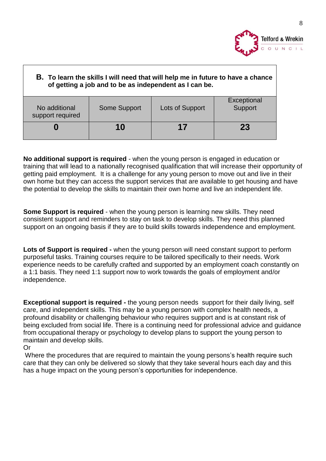

| B. To learn the skills I will need that will help me in future to have a chance<br>of getting a job and to be as independent as I can be. |              |                 |                        |
|-------------------------------------------------------------------------------------------------------------------------------------------|--------------|-----------------|------------------------|
| No additional<br>support required                                                                                                         | Some Support | Lots of Support | Exceptional<br>Support |
| 23<br>17<br>10                                                                                                                            |              |                 |                        |

**No additional support is required** - when the young person is engaged in education or training that will lead to a nationally recognised qualification that will increase their opportunity of getting paid employment. It is a challenge for any young person to move out and live in their own home but they can access the support services that are available to get housing and have the potential to develop the skills to maintain their own home and live an independent life.

**Some Support is required** - when the young person is learning new skills. They need consistent support and reminders to stay on task to develop skills. They need this planned support on an ongoing basis if they are to build skills towards independence and employment.

**Lots of Support is required -** when the young person will need constant support to perform purposeful tasks. Training courses require to be tailored specifically to their needs. Work experience needs to be carefully crafted and supported by an employment coach constantly on a 1:1 basis. They need 1:1 support now to work towards the goals of employment and/or independence.

**Exceptional support is required -** the young person needs support for their daily living, self care, and independent skills. This may be a young person with complex health needs, a profound disability or challenging behaviour who requires support and is at constant risk of being excluded from social life. There is a continuing need for professional advice and guidance from occupational therapy or psychology to develop plans to support the young person to maintain and develop skills.

#### Or

Where the procedures that are required to maintain the young persons's health require such care that they can only be delivered so slowly that they take several hours each day and this has a huge impact on the young person's opportunities for independence.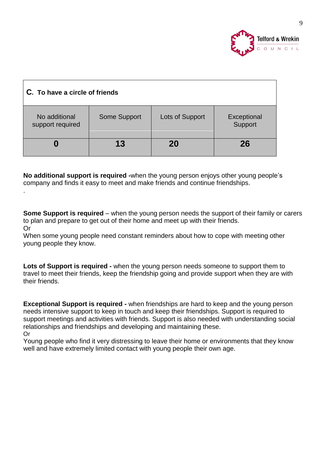

| C. To have a circle of friends    |              |                 |                        |
|-----------------------------------|--------------|-----------------|------------------------|
| No additional<br>support required | Some Support | Lots of Support | Exceptional<br>Support |
|                                   | 13           | 20              | 26                     |

**No additional support is required -**when the young person enjoys other young people's company and finds it easy to meet and make friends and continue friendships.

.

**Some Support is required** – when the young person needs the support of their family or carers to plan and prepare to get out of their home and meet up with their friends. Or

When some young people need constant reminders about how to cope with meeting other young people they know.

**Lots of Support is required -** when the young person needs someone to support them to travel to meet their friends, keep the friendship going and provide support when they are with their friends.

**Exceptional Support is required -** when friendships are hard to keep and the young person needs intensive support to keep in touch and keep their friendships. Support is required to support meetings and activities with friends. Support is also needed with understanding social relationships and friendships and developing and maintaining these. Or

Young people who find it very distressing to leave their home or environments that they know well and have extremely limited contact with young people their own age.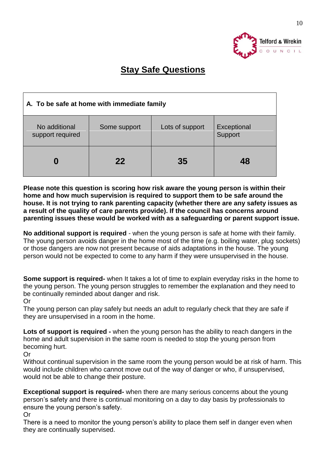

## **Stay Safe Questions**

| A. To be safe at home with immediate family |              |                 |                        |
|---------------------------------------------|--------------|-----------------|------------------------|
| No additional<br>support required           | Some support | Lots of support | Exceptional<br>Support |
|                                             | 22           | 35              | 48                     |

**Please note this question is scoring how risk aware the young person is within their home and how much supervision is required to support them to be safe around the house. It is not trying to rank parenting capacity (whether there are any safety issues as a result of the quality of care parents provide). If the council has concerns around parenting issues these would be worked with as a safeguarding or parent support issue.**

**No additional support is required** - when the young person is safe at home with their family. The young person avoids danger in the home most of the time (e.g. boiling water, plug sockets) or those dangers are now not present because of aids adaptations in the house. The young person would not be expected to come to any harm if they were unsupervised in the house.

**Some support is required-** when It takes a lot of time to explain everyday risks in the home to the young person. The young person struggles to remember the explanation and they need to be continually reminded about danger and risk.

Or

The young person can play safely but needs an adult to regularly check that they are safe if they are unsupervised in a room in the home.

**Lots of support is required -** when the young person has the ability to reach dangers in the home and adult supervision in the same room is needed to stop the young person from becoming hurt.

Or

Without continual supervision in the same room the young person would be at risk of harm. This would include children who cannot move out of the way of danger or who, if unsupervised, would not be able to change their posture.

**Exceptional support is required-** when there are many serious concerns about the young person's safety and there is continual monitoring on a day to day basis by professionals to ensure the young person's safety.

Or

There is a need to monitor the young person's ability to place them self in danger even when they are continually supervised.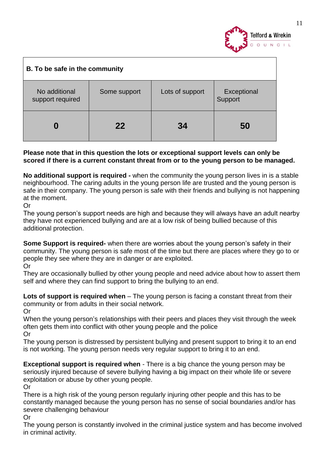

| B. To be safe in the community    |              |                 |                        |
|-----------------------------------|--------------|-----------------|------------------------|
| No additional<br>support required | Some support | Lots of support | Exceptional<br>Support |
|                                   | 22           | 34              | 50                     |

#### **Please note that in this question the lots or exceptional support levels can only be scored if there is a current constant threat from or to the young person to be managed.**

**No additional support is required -** when the community the young person lives in is a stable neighbourhood. The caring adults in the young person life are trusted and the young person is safe in their company. The young person is safe with their friends and bullying is not happening at the moment.

Or

The young person's support needs are high and because they will always have an adult nearby they have not experienced bullying and are at a low risk of being bullied because of this additional protection.

**Some Support is required-** when there are worries about the young person's safety in their community. The young person is safe most of the time but there are places where they go to or people they see where they are in danger or are exploited.

Or

They are occasionally bullied by other young people and need advice about how to assert them self and where they can find support to bring the bullying to an end.

**Lots of support is required when** – The young person is facing a constant threat from their community or from adults in their social network.

Or

When the young person's relationships with their peers and places they visit through the week often gets them into conflict with other young people and the police

Or

The young person is distressed by persistent bullying and present support to bring it to an end is not working. The young person needs very regular support to bring it to an end.

**Exceptional support is required when** - There is a big chance the young person may be seriously injured because of severe bullying having a big impact on their whole life or severe exploitation or abuse by other young people.

Or

There is a high risk of the young person regularly injuring other people and this has to be constantly managed because the young person has no sense of social boundaries and/or has severe challenging behaviour

Or

The young person is constantly involved in the criminal justice system and has become involved in criminal activity.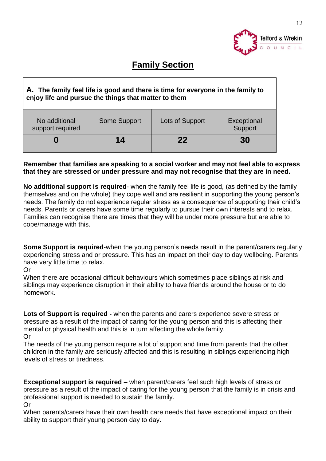

## **Family Section**

#### **A. The family feel life is good and there is time for everyone in the family to enjoy life and pursue the things that matter to them**

| No additional<br>support required | Some Support | Lots of Support | Exceptional<br>Support |
|-----------------------------------|--------------|-----------------|------------------------|
|                                   | 14           | 22              | 30                     |

#### **Remember that families are speaking to a social worker and may not feel able to express that they are stressed or under pressure and may not recognise that they are in need.**

**No additional support is required**- when the family feel life is good, (as defined by the family themselves and on the whole) they cope well and are resilient in supporting the young person's needs. The family do not experience regular stress as a consequence of supporting their child's needs. Parents or carers have some time regularly to pursue their own interests and to relax. Families can recognise there are times that they will be under more pressure but are able to cope/manage with this.

**Some Support is required**-when the young person's needs result in the parent/carers regularly experiencing stress and or pressure. This has an impact on their day to day wellbeing. Parents have very little time to relax.

Or

When there are occasional difficult behaviours which sometimes place siblings at risk and siblings may experience disruption in their ability to have friends around the house or to do homework.

**Lots of Support is required -** when the parents and carers experience severe stress or pressure as a result of the impact of caring for the young person and this is affecting their mental or physical health and this is in turn affecting the whole family. Or

The needs of the young person require a lot of support and time from parents that the other children in the family are seriously affected and this is resulting in siblings experiencing high levels of stress or tiredness.

**Exceptional support is required –** when parent/carers feel such high levels of stress or pressure as a result of the impact of caring for the young person that the family is in crisis and professional support is needed to sustain the family. Or

When parents/carers have their own health care needs that have exceptional impact on their ability to support their young person day to day.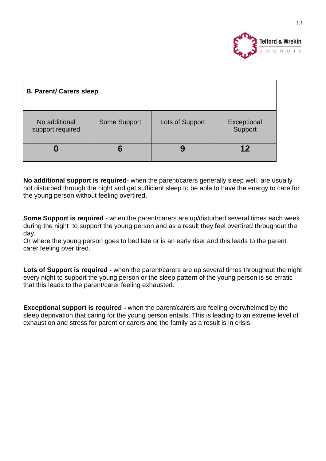

| <b>B. Parent/ Carers sleep</b>    |                     |                 |                        |
|-----------------------------------|---------------------|-----------------|------------------------|
| No additional<br>support required | <b>Some Support</b> | Lots of Support | Exceptional<br>Support |
|                                   | 6                   |                 | 12                     |

**No additional support is required**- when the parent/carers generally sleep well, are usually not disturbed through the night and get sufficient sleep to be able to have the energy to care for the young person without feeling overtired.

**Some Support is required** - when the parent/carers are up/disturbed several times each week during the night to support the young person and as a result they feel overtired throughout the day.

Or where the young person goes to bed late or is an early riser and this leads to the parent carer feeling over tired.

Lots of Support is required - when the parent/carers are up several times throughout the night every night to support the young person or the sleep pattern of the young person is so erratic that this leads to the parent/carer feeling exhausted.

**Exceptional support is required -** when the parent/carers are feeling overwhelmed by the sleep deprivation that caring for the young person entails. This is leading to an extreme level of exhaustion and stress for parent or carers and the family as a result is in crisis.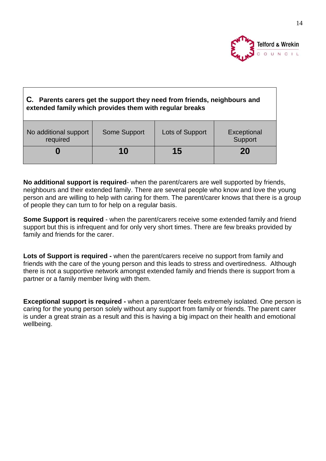

| C. Parents carers get the support they need from friends, neighbours and<br>extended family which provides them with regular breaks |              |                 |                        |
|-------------------------------------------------------------------------------------------------------------------------------------|--------------|-----------------|------------------------|
| No additional support<br>required                                                                                                   | Some Support | Lots of Support | Exceptional<br>Support |
|                                                                                                                                     | 10           | 15              | 20                     |

**No additional support is required**- when the parent/carers are well supported by friends, neighbours and their extended family. There are several people who know and love the young person and are willing to help with caring for them. The parent/carer knows that there is a group of people they can turn to for help on a regular basis.

**Some Support is required** - when the parent/carers receive some extended family and friend support but this is infrequent and for only very short times. There are few breaks provided by family and friends for the carer.

**Lots of Support is required -** when the parent/carers receive no support from family and friends with the care of the young person and this leads to stress and overtiredness. Although there is not a supportive network amongst extended family and friends there is support from a partner or a family member living with them.

**Exceptional support is required -** when a parent/carer feels extremely isolated. One person is caring for the young person solely without any support from family or friends. The parent carer is under a great strain as a result and this is having a big impact on their health and emotional wellbeing.